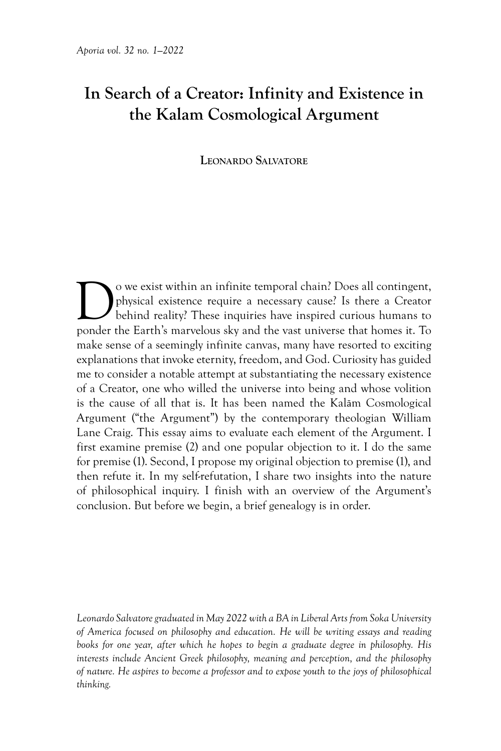# **In Search of a Creator: Infinity and Existence in the Kalam Cosmological Argument**

# **Leonardo Salvatore**

Owe exist within an infinite temporal chain? Does all contingent,<br>physical existence require a necessary cause? Is there a Creator<br>behind reality? These inquiries have inspired curious humans to<br>ponder the Farth's marvelou physical existence require a necessary cause? Is there a Creator behind reality? These inquiries have inspired curious humans to ponder the Earth's marvelous sky and the vast universe that homes it. To make sense of a seemingly infinite canvas, many have resorted to exciting explanations that invoke eternity, freedom, and God. Curiosity has guided me to consider a notable attempt at substantiating the necessary existence of a Creator, one who willed the universe into being and whose volition is the cause of all that is. It has been named the Kalām Cosmological Argument ("the Argument") by the contemporary theologian William Lane Craig. This essay aims to evaluate each element of the Argument. I first examine premise (2) and one popular objection to it. I do the same for premise (1). Second, I propose my original objection to premise (1), and then refute it. In my self-refutation, I share two insights into the nature of philosophical inquiry. I finish with an overview of the Argument's conclusion. But before we begin, a brief genealogy is in order.

*Leonardo Salvatore graduated in May 2022 with a BA in Liberal Arts from Soka University of America focused on philosophy and education. He will be writing essays and reading books for one year, after which he hopes to begin a graduate degree in philosophy. His interests include Ancient Greek philosophy, meaning and perception, and the philosophy of nature. He aspires to become a professor and to expose youth to the joys of philosophical thinking.*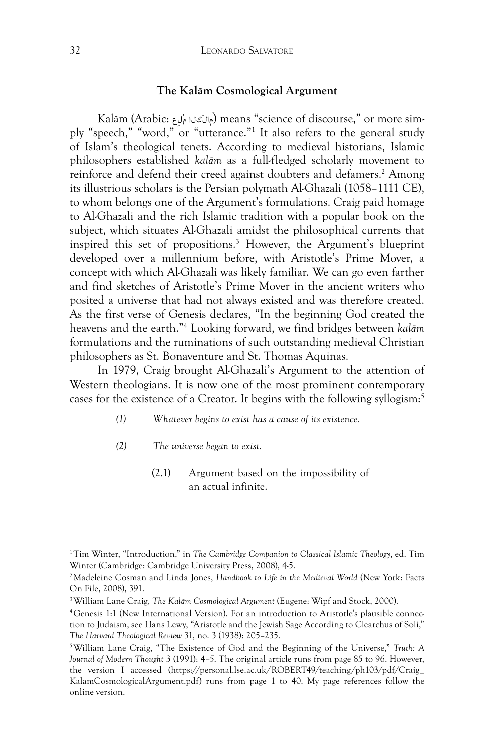#### **The Kalām Cosmological Argument**

Kalām (Arabic: عِلْم كلاَمال) means "science of discourse," or more simply "speech," "word," or "utterance."1 It also refers to the general study of Islam's theological tenets. According to medieval historians, Islamic philosophers established *kalām* as a full-fledged scholarly movement to reinforce and defend their creed against doubters and defamers.2 Among its illustrious scholars is the Persian polymath Al-Ghazali (1058–1111 CE), to whom belongs one of the Argument's formulations. Craig paid homage to Al-Ghazali and the rich Islamic tradition with a popular book on the subject, which situates Al-Ghazali amidst the philosophical currents that inspired this set of propositions. <sup>3</sup> However, the Argument's blueprint developed over a millennium before, with Aristotle's Prime Mover, a concept with which Al-Ghazali was likely familiar. We can go even farther and find sketches of Aristotle's Prime Mover in the ancient writers who posited a universe that had not always existed and was therefore created. As the first verse of Genesis declares, "In the beginning God created the heavens and the earth."4 Looking forward, we find bridges between *kalām* formulations and the ruminations of such outstanding medieval Christian philosophers as St. Bonaventure and St. Thomas Aquinas.

In 1979, Craig brought Al-Ghazali's Argument to the attention of Western theologians. It is now one of the most prominent contemporary cases for the existence of a Creator. It begins with the following syllogism:5

- *(1) Whatever begins to exist has a cause of its existence.*
- *(2) The universe began to exist.*
	- (2.1) Argument based on the impossibility of an actual infinite.

<sup>1</sup>Tim Winter, "Introduction," in *The Cambridge Companion to Classical Islamic Theology*, ed. Tim Winter (Cambridge: Cambridge University Press, 2008), 4-5.

<sup>2</sup>Madeleine Cosman and Linda Jones, *Handbook to Life in the Medieval World* (New York: Facts On File, 2008), 391.

<sup>3</sup>William Lane Craig, *The Kalām Cosmological Argument* (Eugene: Wipf and Stock, 2000).

<sup>4</sup>Genesis 1:1 (New International Version). For an introduction to Aristotle's plausible connection to Judaism, see Hans Lewy, "Aristotle and the Jewish Sage According to Clearchus of Soli," *The Harvard Theological Review* 31, no. 3 (1938): 205–235.

<sup>5</sup>William Lane Craig, "The Existence of God and the Beginning of the Universe," *Truth: A Journal of Modern Thought* 3 (1991): 4–5. The original article runs from page 85 to 96. However, the version I accessed (https://personal.lse.ac.uk/ROBERT49/teaching/ph103/pdf/Craig\_ KalamCosmologicalArgument.pdf) runs from page 1 to 40. My page references follow the online version.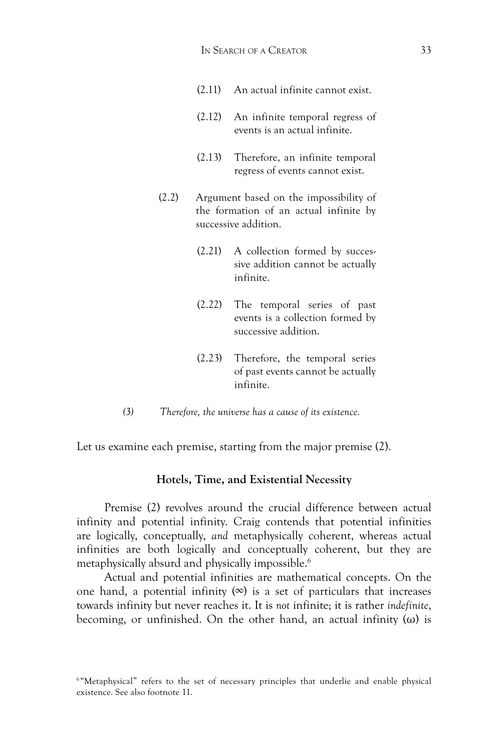- (2.11) An actual infinite cannot exist.
- (2.12) An infinite temporal regress of events is an actual infinite.
- (2.13) Therefore, an infinite temporal regress of events cannot exist.
- (2.2) Argument based on the impossibility of the formation of an actual infinite by successive addition.
	- (2.21) A collection formed by successive addition cannot be actually infinite.
	- (2.22) The temporal series of past events is a collection formed by successive addition.
	- (2.23) Therefore, the temporal series of past events cannot be actually infinite.
- *(3) Therefore, the universe has a cause of its existence.*

Let us examine each premise, starting from the major premise (2).

## **Hotels, Time, and Existential Necessity**

Premise (2) revolves around the crucial difference between actual infinity and potential infinity. Craig contends that potential infinities are logically, conceptually, *and* metaphysically coherent, whereas actual infinities are both logically and conceptually coherent, but they are metaphysically absurd and physically impossible. 6

Actual and potential infinities are mathematical concepts. On the one hand, a potential infinity  $(\infty)$  is a set of particulars that increases towards infinity but never reaches it. It is *not* infinite; it is rather *indefinite*, becoming, or unfinished. On the other hand, an actual infinity  $(\omega)$  is

<sup>&</sup>lt;sup>6</sup> "Metaphysical" refers to the set of necessary principles that underlie and enable physical existence. See also footnote 11.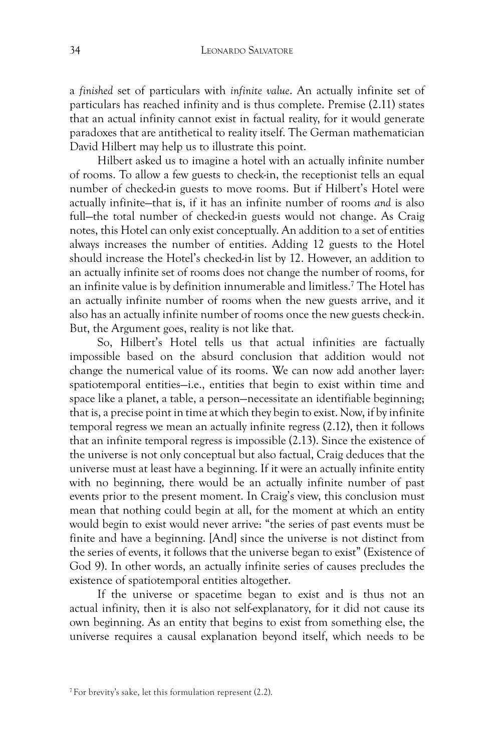a *finished* set of particulars with *infinite value*. An actually infinite set of particulars has reached infinity and is thus complete. Premise (2.11) states that an actual infinity cannot exist in factual reality, for it would generate paradoxes that are antithetical to reality itself. The German mathematician David Hilbert may help us to illustrate this point.

Hilbert asked us to imagine a hotel with an actually infinite number of rooms. To allow a few guests to check-in, the receptionist tells an equal number of checked-in guests to move rooms. But if Hilbert's Hotel were actually infinite—that is, if it has an infinite number of rooms *and* is also full—the total number of checked-in guests would not change. As Craig notes, this Hotel can only exist conceptually. An addition to a set of entities always increases the number of entities. Adding 12 guests to the Hotel should increase the Hotel's checked-in list by 12. However, an addition to an actually infinite set of rooms does not change the number of rooms, for an infinite value is by definition innumerable and limitless.7 The Hotel has an actually infinite number of rooms when the new guests arrive, and it also has an actually infinite number of rooms once the new guests check-in. But, the Argument goes, reality is not like that.

So, Hilbert's Hotel tells us that actual infinities are factually impossible based on the absurd conclusion that addition would not change the numerical value of its rooms. We can now add another layer: spatiotemporal entities—i.e., entities that begin to exist within time and space like a planet, a table, a person—necessitate an identifiable beginning; that is, a precise point in time at which they begin to exist. Now, if by infinite temporal regress we mean an actually infinite regress (2.12), then it follows that an infinite temporal regress is impossible (2.13). Since the existence of the universe is not only conceptual but also factual, Craig deduces that the universe must at least have a beginning. If it were an actually infinite entity with no beginning, there would be an actually infinite number of past events prior to the present moment. In Craig's view, this conclusion must mean that nothing could begin at all, for the moment at which an entity would begin to exist would never arrive: "the series of past events must be finite and have a beginning. [And] since the universe is not distinct from the series of events, it follows that the universe began to exist" (Existence of God 9). In other words, an actually infinite series of causes precludes the existence of spatiotemporal entities altogether.

If the universe or spacetime began to exist and is thus not an actual infinity, then it is also not self-explanatory, for it did not cause its own beginning. As an entity that begins to exist from something else, the universe requires a causal explanation beyond itself, which needs to be

<sup>7</sup>For brevity's sake, let this formulation represent (2.2).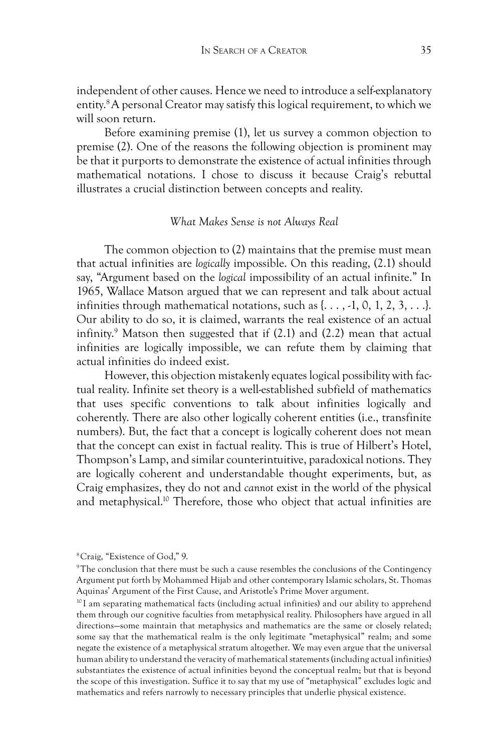independent of other causes. Hence we need to introduce a self-explanatory entity. 8 A personal Creator may satisfy this logical requirement, to which we will soon return.

Before examining premise (1), let us survey a common objection to premise (2). One of the reasons the following objection is prominent may be that it purports to demonstrate the existence of actual infinities through mathematical notations. I chose to discuss it because Craig's rebuttal illustrates a crucial distinction between concepts and reality.

#### *What Makes Sense is not Always Real*

The common objection to (2) maintains that the premise must mean that actual infinities are *logically* impossible. On this reading, (2.1) should say, "Argument based on the *logical* impossibility of an actual infinite." In 1965, Wallace Matson argued that we can represent and talk about actual infinities through mathematical notations, such as  $\{\ldots, -1, 0, 1, 2, 3, \ldots\}$ . Our ability to do so, it is claimed, warrants the real existence of an actual infinity. 9 Matson then suggested that if (2.1) and (2.2) mean that actual infinities are logically impossible, we can refute them by claiming that actual infinities do indeed exist.

However, this objection mistakenly equates logical possibility with factual reality. Infinite set theory is a well-established subfield of mathematics that uses specific conventions to talk about infinities logically and coherently. There are also other logically coherent entities (i.e., transfinite numbers). But, the fact that a concept is logically coherent does not mean that the concept can exist in factual reality. This is true of Hilbert's Hotel, Thompson's Lamp, and similar counterintuitive, paradoxical notions. They are logically coherent and understandable thought experiments, but, as Craig emphasizes, they do not and *cannot* exist in the world of the physical and metaphysical.<sup>10</sup> Therefore, those who object that actual infinities are

 $10$ I am separating mathematical facts (including actual infinities) and our ability to apprehend them through our cognitive faculties from metaphysical reality. Philosophers have argued in all directions—some maintain that metaphysics and mathematics are the same or closely related; some say that the mathematical realm is the only legitimate "metaphysical" realm; and some negate the existence of a metaphysical stratum altogether. We may even argue that the universal human ability to understand the veracity of mathematical statements (including actual infinities) substantiates the existence of actual infinities beyond the conceptual realm; but that is beyond the scope of this investigation. Suffice it to say that my use of "metaphysical" excludes logic and mathematics and refers narrowly to necessary principles that underlie physical existence.

<sup>8</sup>Craig, "Existence of God," 9.

<sup>9</sup>The conclusion that there must be such a cause resembles the conclusions of the Contingency Argument put forth by Mohammed Hijab and other contemporary Islamic scholars, St. Thomas Aquinas' Argument of the First Cause, and Aristotle's Prime Mover argument.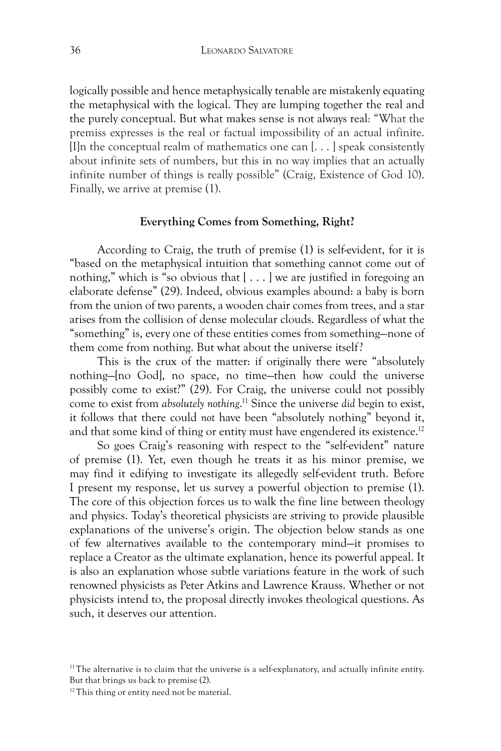logically possible and hence metaphysically tenable are mistakenly equating the metaphysical with the logical. They are lumping together the real and the purely conceptual. But what makes sense is not always real: "What the premiss expresses is the real or factual impossibility of an actual infinite. [I]n the conceptual realm of mathematics one can  $[\dots]$  speak consistently about infinite sets of numbers, but this in no way implies that an actually infinite number of things is really possible" (Craig, Existence of God 10). Finally, we arrive at premise (1).

#### **Everything Comes from Something, Right?**

According to Craig, the truth of premise (1) is self-evident, for it is "based on the metaphysical intuition that something cannot come out of nothing," which is "so obvious that [ . . . ] we are justified in foregoing an elaborate defense" (29). Indeed, obvious examples abound: a baby is born from the union of two parents, a wooden chair comes from trees, and a star arises from the collision of dense molecular clouds. Regardless of what the "something" is, every one of these entities comes from something—none of them come from nothing. But what about the universe itself?

This is the crux of the matter: if originally there were "absolutely nothing—[no God], no space, no time—then how could the universe possibly come to exist?" (29). For Craig, the universe could not possibly come to exist from *absolutely nothing*. 11 Since the universe *did* begin to exist, it follows that there could *not* have been "absolutely nothing" beyond it, and that some kind of thing or entity must have engendered its existence.<sup>12</sup>

So goes Craig's reasoning with respect to the "self-evident" nature of premise (1). Yet, even though he treats it as his minor premise, we may find it edifying to investigate its allegedly self-evident truth. Before I present my response, let us survey a powerful objection to premise (1). The core of this objection forces us to walk the fine line between theology and physics. Today's theoretical physicists are striving to provide plausible explanations of the universe's origin. The objection below stands as one of few alternatives available to the contemporary mind—it promises to replace a Creator as the ultimate explanation, hence its powerful appeal. It is also an explanation whose subtle variations feature in the work of such renowned physicists as Peter Atkins and Lawrence Krauss. Whether or not physicists intend to, the proposal directly invokes theological questions. As such, it deserves our attention.

<sup>&</sup>lt;sup>11</sup>The alternative is to claim that the universe is a self-explanatory, and actually infinite entity. But that brings us back to premise (2).

<sup>&</sup>lt;sup>12</sup>This thing or entity need not be material.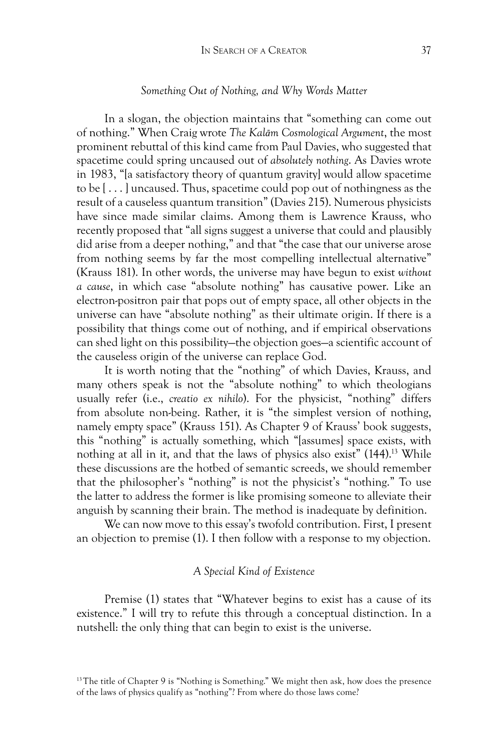#### *Something Out of Nothing, and Why Words Matter*

In a slogan, the objection maintains that "something can come out of nothing." When Craig wrote *The Kalām Cosmological Argument*, the most prominent rebuttal of this kind came from Paul Davies, who suggested that spacetime could spring uncaused out of *absolutely nothing*. As Davies wrote in 1983, "[a satisfactory theory of quantum gravity] would allow spacetime to be [ . . . ] uncaused. Thus, spacetime could pop out of nothingness as the result of a causeless quantum transition" (Davies 215). Numerous physicists have since made similar claims. Among them is Lawrence Krauss, who recently proposed that "all signs suggest a universe that could and plausibly did arise from a deeper nothing," and that "the case that our universe arose from nothing seems by far the most compelling intellectual alternative" (Krauss 181). In other words, the universe may have begun to exist *without a cause*, in which case "absolute nothing" has causative power. Like an electron-positron pair that pops out of empty space, all other objects in the universe can have "absolute nothing" as their ultimate origin. If there is a possibility that things come out of nothing, and if empirical observations can shed light on this possibility—the objection goes—a scientific account of the causeless origin of the universe can replace God.

It is worth noting that the "nothing" of which Davies, Krauss, and many others speak is not the "absolute nothing" to which theologians usually refer (i.e., *creatio ex nihilo*). For the physicist, "nothing" differs from absolute non-being. Rather, it is "the simplest version of nothing, namely empty space" (Krauss 151). As Chapter 9 of Krauss' book suggests, this "nothing" is actually something, which "[assumes] space exists, with nothing at all in it, and that the laws of physics also exist" (144).<sup>13</sup> While these discussions are the hotbed of semantic screeds, we should remember that the philosopher's "nothing" is not the physicist's "nothing." To use the latter to address the former is like promising someone to alleviate their anguish by scanning their brain. The method is inadequate by definition.

We can now move to this essay's twofold contribution. First, I present an objection to premise (1). I then follow with a response to my objection.

### *A Special Kind of Existence*

Premise (1) states that "Whatever begins to exist has a cause of its existence." I will try to refute this through a conceptual distinction. In a nutshell: the only thing that can begin to exist is the universe.

<sup>&</sup>lt;sup>13</sup>The title of Chapter 9 is "Nothing is Something." We might then ask, how does the presence of the laws of physics qualify as "nothing"? From where do those laws come?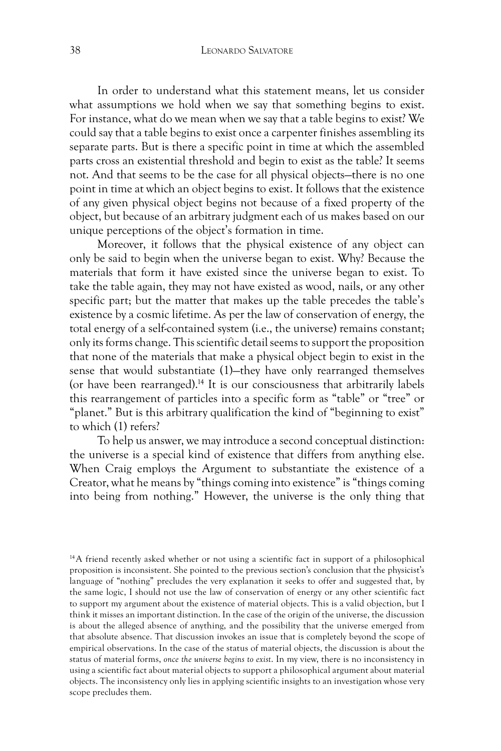In order to understand what this statement means, let us consider what assumptions we hold when we say that something begins to exist. For instance, what do we mean when we say that a table begins to exist? We could say that a table begins to exist once a carpenter finishes assembling its separate parts. But is there a specific point in time at which the assembled parts cross an existential threshold and begin to exist as the table? It seems not. And that seems to be the case for all physical objects—there is no one point in time at which an object begins to exist. It follows that the existence of any given physical object begins not because of a fixed property of the object, but because of an arbitrary judgment each of us makes based on our unique perceptions of the object's formation in time.

Moreover, it follows that the physical existence of any object can only be said to begin when the universe began to exist. Why? Because the materials that form it have existed since the universe began to exist. To take the table again, they may not have existed as wood, nails, or any other specific part; but the matter that makes up the table precedes the table's existence by a cosmic lifetime. As per the law of conservation of energy, the total energy of a self-contained system (i.e., the universe) remains constant; only its forms change. This scientific detail seems to support the proposition that none of the materials that make a physical object begin to exist in the sense that would substantiate (1)—they have only rearranged themselves (or have been rearranged).14 It is our consciousness that arbitrarily labels this rearrangement of particles into a specific form as "table" or "tree" or "planet." But is this arbitrary qualification the kind of "beginning to exist" to which (1) refers?

To help us answer, we may introduce a second conceptual distinction: the universe is a special kind of existence that differs from anything else. When Craig employs the Argument to substantiate the existence of a Creator, what he means by "things coming into existence" is "things coming into being from nothing." However, the universe is the only thing that

<sup>14</sup>A friend recently asked whether or not using a scientific fact in support of a philosophical proposition is inconsistent. She pointed to the previous section's conclusion that the physicist's language of "nothing" precludes the very explanation it seeks to offer and suggested that, by the same logic, I should not use the law of conservation of energy or any other scientific fact to support my argument about the existence of material objects. This is a valid objection, but I think it misses an important distinction. In the case of the origin of the universe, the discussion is about the alleged absence of anything, and the possibility that the universe emerged from that absolute absence. That discussion invokes an issue that is completely beyond the scope of empirical observations. In the case of the status of material objects, the discussion is about the status of material forms, *once the universe begins to exist*. In my view, there is no inconsistency in using a scientific fact about material objects to support a philosophical argument about material objects. The inconsistency only lies in applying scientific insights to an investigation whose very scope precludes them.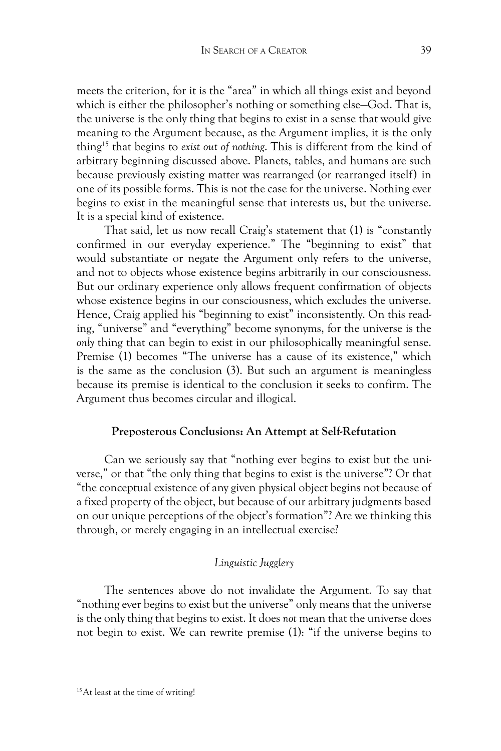meets the criterion, for it is the "area" in which all things exist and beyond which is either the philosopher's nothing or something else—God. That is, the universe is the only thing that begins to exist in a sense that would give meaning to the Argument because, as the Argument implies, it is the only thing15 that begins to *exist out of nothing*. This is different from the kind of arbitrary beginning discussed above. Planets, tables, and humans are such because previously existing matter was rearranged (or rearranged itself) in one of its possible forms. This is not the case for the universe. Nothing ever begins to exist in the meaningful sense that interests us, but the universe. It is a special kind of existence.

That said, let us now recall Craig's statement that (1) is "constantly confirmed in our everyday experience." The "beginning to exist" that would substantiate or negate the Argument only refers to the universe, and not to objects whose existence begins arbitrarily in our consciousness. But our ordinary experience only allows frequent confirmation of objects whose existence begins in our consciousness, which excludes the universe. Hence, Craig applied his "beginning to exist" inconsistently. On this reading, "universe" and "everything" become synonyms, for the universe is the *only* thing that can begin to exist in our philosophically meaningful sense. Premise (1) becomes "The universe has a cause of its existence," which is the same as the conclusion (3). But such an argument is meaningless because its premise is identical to the conclusion it seeks to confirm. The Argument thus becomes circular and illogical.

# **Preposterous Conclusions: An Attempt at Self-Refutation**

Can we seriously say that "nothing ever begins to exist but the universe," or that "the only thing that begins to exist is the universe"? Or that "the conceptual existence of any given physical object begins not because of a fixed property of the object, but because of our arbitrary judgments based on our unique perceptions of the object's formation"? Are we thinking this through, or merely engaging in an intellectual exercise?

# *Linguistic Jugglery*

The sentences above do not invalidate the Argument. To say that "nothing ever begins to exist but the universe" only means that the universe is the only thing that begins to exist. It does *not* mean that the universe does not begin to exist. We can rewrite premise (1): "if the universe begins to

<sup>15</sup>At least at the time of writing!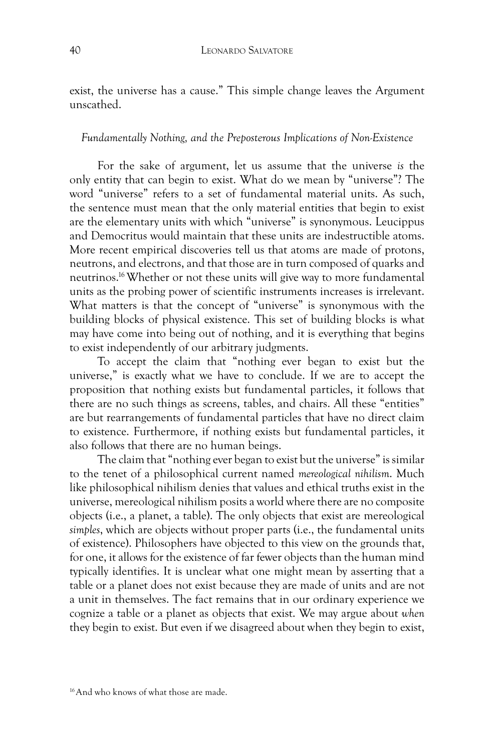exist, the universe has a cause." This simple change leaves the Argument unscathed.

#### *Fundamentally Nothing, and the Preposterous Implications of Non-Existence*

For the sake of argument, let us assume that the universe *is* the only entity that can begin to exist. What do we mean by "universe"? The word "universe" refers to a set of fundamental material units. As such, the sentence must mean that the only material entities that begin to exist are the elementary units with which "universe" is synonymous. Leucippus and Democritus would maintain that these units are indestructible atoms. More recent empirical discoveries tell us that atoms are made of protons, neutrons, and electrons, and that those are in turn composed of quarks and neutrinos. 16 Whether or not these units will give way to more fundamental units as the probing power of scientific instruments increases is irrelevant. What matters is that the concept of "universe" is synonymous with the building blocks of physical existence. This set of building blocks is what may have come into being out of nothing, and it is everything that begins to exist independently of our arbitrary judgments.

To accept the claim that "nothing ever began to exist but the universe," is exactly what we have to conclude. If we are to accept the proposition that nothing exists but fundamental particles, it follows that there are no such things as screens, tables, and chairs. All these "entities" are but rearrangements of fundamental particles that have no direct claim to existence. Furthermore, if nothing exists but fundamental particles, it also follows that there are no human beings.

The claim that "nothing ever began to exist but the universe" is similar to the tenet of a philosophical current named *mereological nihilism*. Much like philosophical nihilism denies that values and ethical truths exist in the universe, mereological nihilism posits a world where there are no composite objects (i.e., a planet, a table). The only objects that exist are mereological *simples*, which are objects without proper parts (i.e., the fundamental units of existence). Philosophers have objected to this view on the grounds that, for one, it allows for the existence of far fewer objects than the human mind typically identifies. It is unclear what one might mean by asserting that a table or a planet does not exist because they are made of units and are not a unit in themselves. The fact remains that in our ordinary experience we cognize a table or a planet as objects that exist. We may argue about *when* they begin to exist. But even if we disagreed about when they begin to exist,

<sup>16</sup>And who knows of what those are made.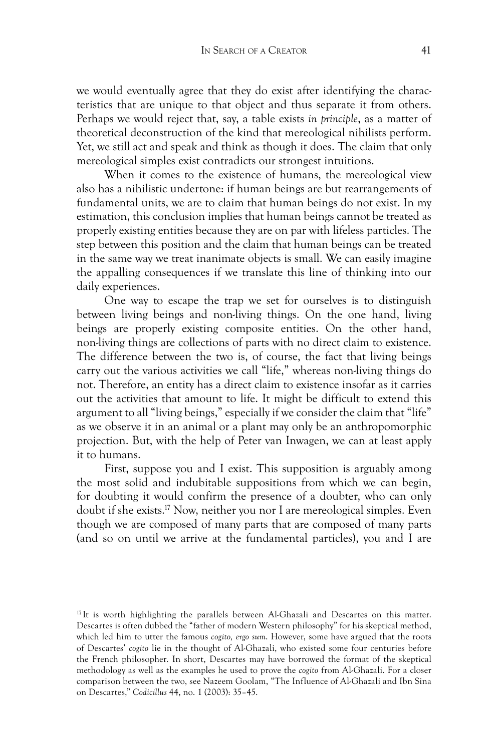we would eventually agree that they do exist after identifying the characteristics that are unique to that object and thus separate it from others. Perhaps we would reject that, say, a table exists *in principle*, as a matter of theoretical deconstruction of the kind that mereological nihilists perform. Yet, we still act and speak and think as though it does. The claim that only mereological simples exist contradicts our strongest intuitions.

When it comes to the existence of humans, the mereological view also has a nihilistic undertone: if human beings are but rearrangements of fundamental units, we are to claim that human beings do not exist. In my estimation, this conclusion implies that human beings cannot be treated as properly existing entities because they are on par with lifeless particles. The step between this position and the claim that human beings can be treated in the same way we treat inanimate objects is small. We can easily imagine the appalling consequences if we translate this line of thinking into our daily experiences.

One way to escape the trap we set for ourselves is to distinguish between living beings and non-living things. On the one hand, living beings are properly existing composite entities. On the other hand, non-living things are collections of parts with no direct claim to existence. The difference between the two is, of course, the fact that living beings carry out the various activities we call "life," whereas non-living things do not. Therefore, an entity has a direct claim to existence insofar as it carries out the activities that amount to life. It might be difficult to extend this argument to all "living beings," especially if we consider the claim that "life" as we observe it in an animal or a plant may only be an anthropomorphic projection. But, with the help of Peter van Inwagen, we can at least apply it to humans.

First, suppose you and I exist. This supposition is arguably among the most solid and indubitable suppositions from which we can begin, for doubting it would confirm the presence of a doubter, who can only doubt if she exists.17 Now, neither you nor I are mereological simples. Even though we are composed of many parts that are composed of many parts (and so on until we arrive at the fundamental particles), you and I are

<sup>&</sup>lt;sup>17</sup> It is worth highlighting the parallels between Al-Ghazali and Descartes on this matter. Descartes is often dubbed the "father of modern Western philosophy" for his skeptical method, which led him to utter the famous *cogito, ergo sum*. However, some have argued that the roots of Descartes' *cogito* lie in the thought of Al-Ghazali, who existed some four centuries before the French philosopher. In short, Descartes may have borrowed the format of the skeptical methodology as well as the examples he used to prove the *cogito* from Al-Ghazali. For a closer comparison between the two, see Nazeem Goolam, "The Influence of Al-Ghazali and Ibn Sina on Descartes," *Codicillus* 44, no. 1 (2003): 35–45.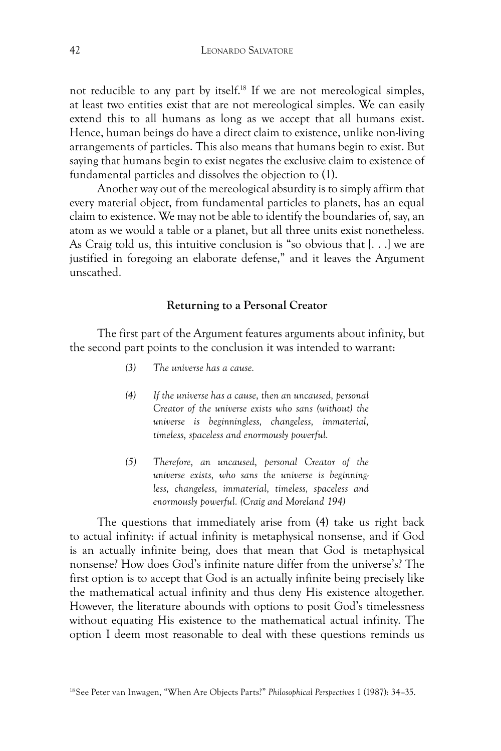not reducible to any part by itself.18 If we are not mereological simples, at least two entities exist that are not mereological simples. We can easily extend this to all humans as long as we accept that all humans exist. Hence, human beings do have a direct claim to existence, unlike non-living arrangements of particles. This also means that humans begin to exist. But saying that humans begin to exist negates the exclusive claim to existence of fundamental particles and dissolves the objection to (1).

Another way out of the mereological absurdity is to simply affirm that every material object, from fundamental particles to planets, has an equal claim to existence. We may not be able to identify the boundaries of, say, an atom as we would a table or a planet, but all three units exist nonetheless. As Craig told us, this intuitive conclusion is "so obvious that [. . .] we are justified in foregoing an elaborate defense," and it leaves the Argument unscathed.

## **Returning to a Personal Creator**

The first part of the Argument features arguments about infinity, but the second part points to the conclusion it was intended to warrant:

- *(3) The universe has a cause.*
- *(4) If the universe has a cause, then an uncaused, personal Creator of the universe exists who sans (without) the universe is beginningless, changeless, immaterial, timeless, spaceless and enormously powerful.*
- *(5) Therefore, an uncaused, personal Creator of the universe exists, who sans the universe is beginningless, changeless, immaterial, timeless, spaceless and enormously powerful. (Craig and Moreland 194)*

The questions that immediately arise from (4) take us right back to actual infinity: if actual infinity is metaphysical nonsense, and if God is an actually infinite being, does that mean that God is metaphysical nonsense? How does God's infinite nature differ from the universe's? The first option is to accept that God is an actually infinite being precisely like the mathematical actual infinity and thus deny His existence altogether. However, the literature abounds with options to posit God's timelessness without equating His existence to the mathematical actual infinity. The option I deem most reasonable to deal with these questions reminds us

<sup>18</sup>See Peter van Inwagen, "When Are Objects Parts?" *Philosophical Perspectives* 1 (1987): 34–35.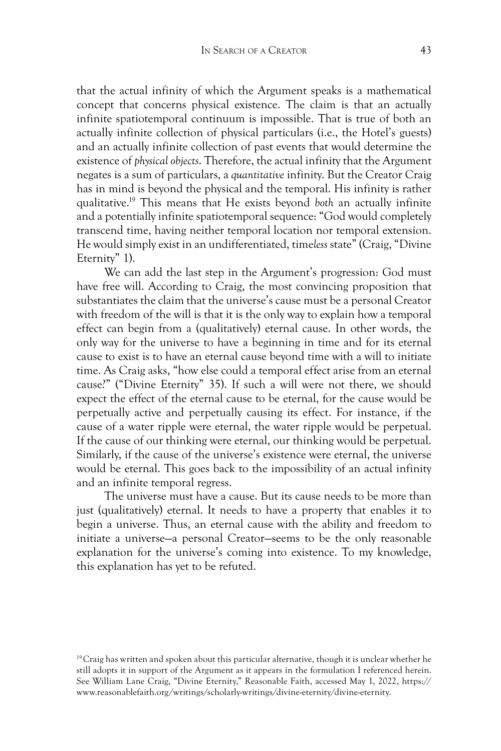that the actual infinity of which the Argument speaks is a mathematical concept that concerns physical existence. The claim is that an actually infinite spatiotemporal continuum is impossible. That is true of both an actually infinite collection of physical particulars (i.e., the Hotel's guests) and an actually infinite collection of past events that would determine the existence of *physical objects*. Therefore, the actual infinity that the Argument negates is a sum of particulars, a *quantitative* infinity. But the Creator Craig has in mind is beyond the physical and the temporal. His infinity is rather qualitative.19 This means that He exists beyond *both* an actually infinite and a potentially infinite spatiotemporal sequence: "God would completely transcend time, having neither temporal location nor temporal extension. He would simply exist in an undifferentiated, time*less* state" (Craig, "Divine Eternity" 1).

We can add the last step in the Argument's progression: God must have free will. According to Craig, the most convincing proposition that substantiates the claim that the universe's cause must be a personal Creator with freedom of the will is that it is the only way to explain how a temporal effect can begin from a (qualitatively) eternal cause. In other words, the only way for the universe to have a beginning in time and for its eternal cause to exist is to have an eternal cause beyond time with a will to initiate time. As Craig asks, "how else could a temporal effect arise from an eternal cause?" ("Divine Eternity" 35). If such a will were not there, we should expect the effect of the eternal cause to be eternal, for the cause would be perpetually active and perpetually causing its effect. For instance, if the cause of a water ripple were eternal, the water ripple would be perpetual. If the cause of our thinking were eternal, our thinking would be perpetual. Similarly, if the cause of the universe's existence were eternal, the universe would be eternal. This goes back to the impossibility of an actual infinity and an infinite temporal regress.

The universe must have a cause. But its cause needs to be more than just (qualitatively) eternal. It needs to have a property that enables it to begin a universe. Thus, an eternal cause with the ability and freedom to initiate a universe—a personal Creator—seems to be the only reasonable explanation for the universe's coming into existence. To my knowledge, this explanation has yet to be refuted.

 $19$ Craig has written and spoken about this particular alternative, though it is unclear whether he still adopts it in support of the Argument as it appears in the formulation I referenced herein. See William Lane Craig, "Divine Eternity," Reasonable Faith, accessed May 1, 2022, https:// www.reasonablefaith.org/writings/scholarly-writings/divine-eternity/divine-eternity.